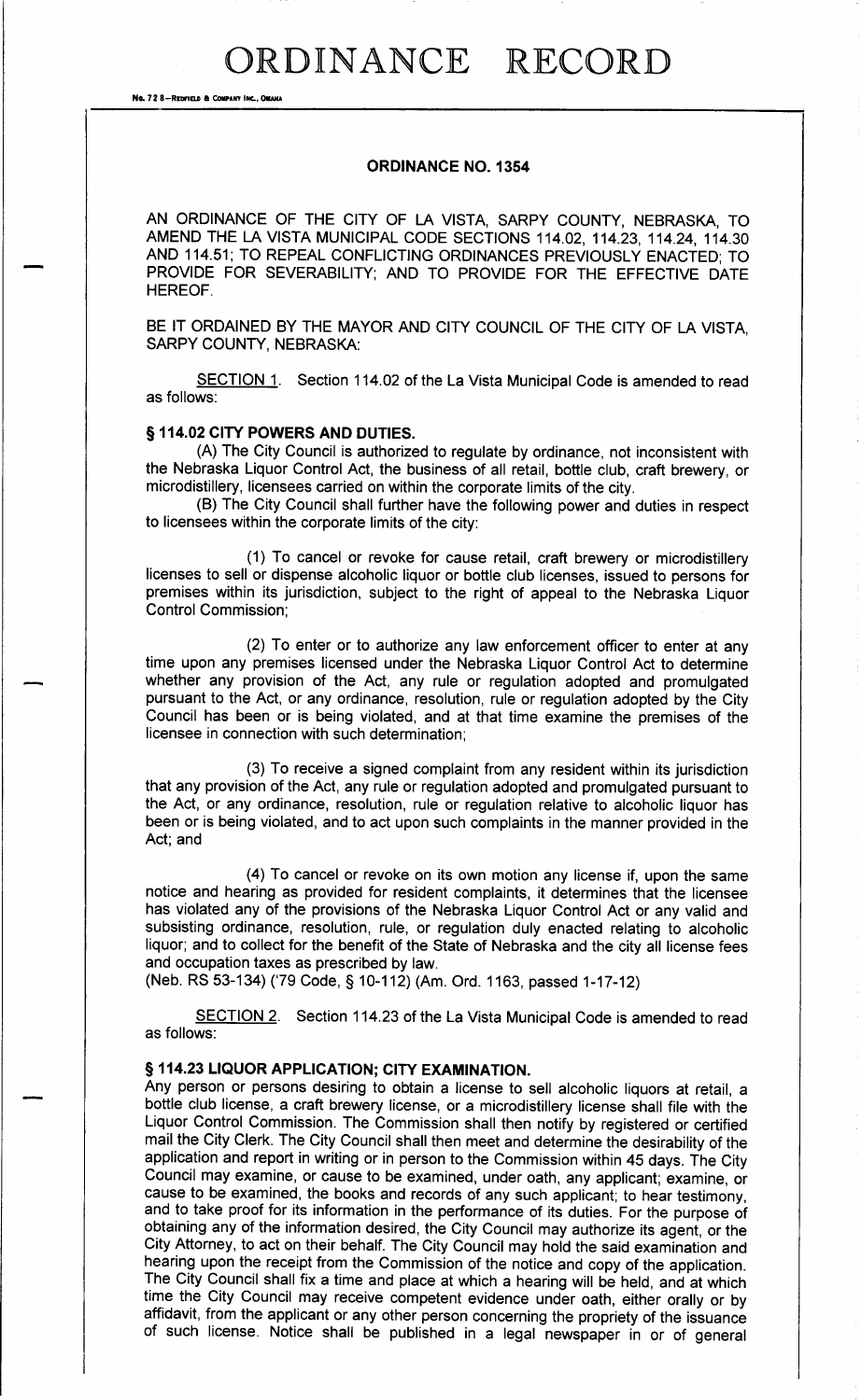# ORDINANCE RECORD

No. 72 8-REDFIELD & COMPANY INC., OMAHA

#### ORDINANCE NO. 1354

AN ORDINANCE OF THE CITY OF LA VISTA, SARPY COUNTY, NEBRASKA, TO AMEND THE LA VISTA MUNICIPAL CODE SECTIONS 114. 02, 114. 23, 114. 24, 114. 30 AND 114. 51; TO REPEAL CONFLICTING ORDINANCES PREVIOUSLY ENACTED; TO PROVIDE FOR SEVERABILITY; AND TO PROVIDE FOR THE EFFECTIVE DATE HEREOF.

BE IT ORDAINED BY THE MAYOR AND CITY COUNCIL OF THE CITY OF LA VISTA, SARPY COUNTY, NEBRASKA:

SECTION 1. Section 114.02 of the La Vista Municipal Code is amended to read as follows:

# § 114.02 CITY POWERS AND DUTIES.

A) The City Council is authorized to regulate by ordinance, not inconsistent with the Nebraska Liquor Control Act, the business of all retail, bottle club, craft brewery, or microdistillery, licensees carried on within the corporate limits of the city.

B) The City Council shall further have the following power and duties in respect to licensees within the corporate limits of the city:

1) To cancel or revoke for cause retail, craft brewery or microdistillery licenses to sell or dispense alcoholic liquor or bottle club licenses, issued to persons for premises within its jurisdiction, subject to the right of appeal to the Nebraska Liquor Control Commission;

2) To enter or to authorize any law enforcement officer to enter at any time upon any premises licensed under the Nebraska Liquor Control Act to determine whether any provision of the Act, any rule or regulation adopted and promulgated pursuant to the Act, or any ordinance, resolution, rule or regulation adopted by the City Council has been or is being violated, and at that time examine the premises of the licensee in connection with such determination;

3) To receive a signed complaint from any resident within its jurisdiction that any provision of the Act, any rule or regulation adopted and promulgated pursuant to the Act, or any ordinance, resolution, rule or regulation relative to alcoholic liquor has been or is being violated, and to act upon such complaints in the manner provided in the Act; and

4) To cancel or revoke on its own motion any license if, upon the same notice and hearing as provided for resident complaints, it determines that the licensee has violated any of the provisions of the Nebraska Liquor Control Act or any valid and subsisting ordinance, resolution, rule, or regulation duly enacted relating to alcoholic liquor; and to collect for the benefit of the State of Nebraska and the city all license fees and occupation taxes as prescribed by law.

Neb. RS 53- 134) ( 79 Code, § 10- 112) ( Am. Ord. 1163, passed 1- 17- 12)

SECTION 2. Section 114.23 of the La Vista Municipal Code is amended to read as follows:

# § 114.23 LIQUOR APPLICATION; CITY EXAMINATION.

Any person or persons desiring to obtain a license to sell alcoholic liquors at retail, a bottle club license, a craft brewery license, or a microdistillery license shall file with the Liquor Control Commission. The Commission shall then notify by registered or certified mail the City Clerk. The City Council shall then meet and determine the desirability of the application and report in writing or in person to the Commission within 45 days. The City Council may examine, or cause to be examined, under oath, any applicant; examine, or cause to be examined, the books and records of any such applicant; to hear testimony, and to take proof for its information in the performance of its duties. For the purpose of obtaining any of the information desired, the City Council may authorize its agent, or the City Attorney, to act on their behalf. The City Council may hold the said examination and hearing upon the receipt from the Commission of the notice and copy of the application. The City Council shall fix a time and place at which a hearing will be held, and at which time the City Council may receive competent evidence under oath, either orally or by affidavit, from the applicant or any other person concerning the propriety of the issuance of such license. Notice shall be published in <sup>a</sup> legal newspaper in or of general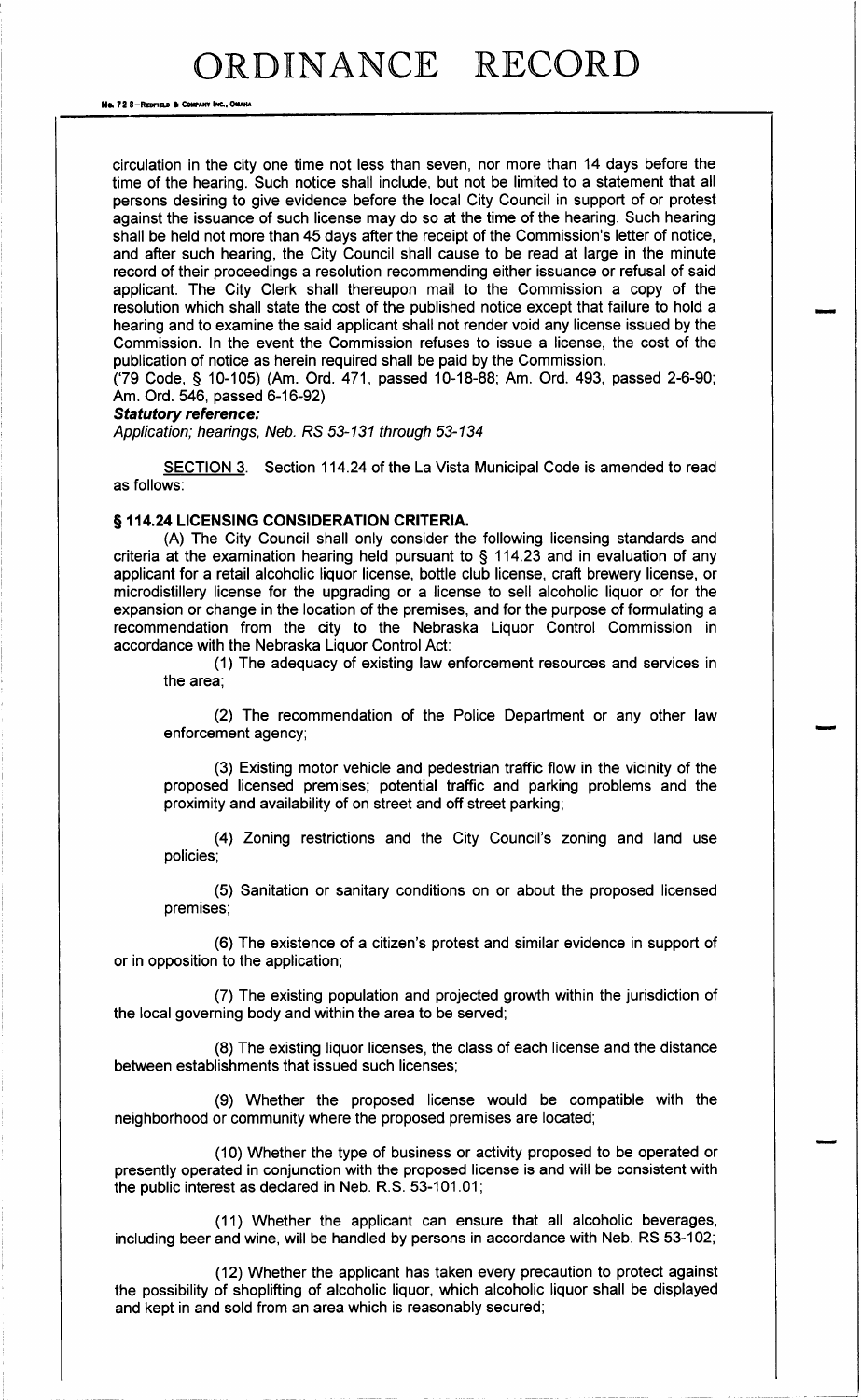Na. 72 8-REDFIELD & COMPANY INC., OMAHA

circulation in the city one time not less than seven, nor more than 14 days before the time of the hearing. Such notice shall include, but not be limited to a statement that all persons desiring to give evidence before the local City Council in support of or protest against the issuance of such license may do so at the time of the hearing. Such hearing shall be held not more than 45 days after the receipt of the Commission's letter of notice, and after such hearing, the City Council shall cause to be read at large in the minute record of their proceedings a resolution recommending either issuance or refusal of said applicant. The City Clerk shall thereupon mail to the Commission a copy of the resolution which shall state the cost of the published notice except that failure to hold a hearing and to examine the said applicant shall not render void any license issued by the Commission. In the event the Commission refuses to issue a license, the cost of the publication of notice as herein required shall be paid by the Commission.

('79 Code, § 10-105) (Am. Ord. 471, passed 10-18-88; Am. Ord. 493, passed 2-6-90; Am. Ord. 546, passed 6-16-92)

#### Statutory reference:

Application; hearings, Neb. RS 53-131 through 53-134

SECTION 3. Section 114. 24 of the La Vista Municipal Code is amended to read as follows:

### § 114.24 LICENSING CONSIDERATION CRITERIA.

A) The City Council shall only consider the following licensing standards and criteria at the examination hearing held pursuant to § 114. 23 and in evaluation of any applicant for a retail alcoholic liquor license, bottle club license, craft brewery license, or microdistillery license for the upgrading or a license to sell alcoholic liquor or for the expansion or change in the location of the premises, and for the purpose of formulating a recommendation from the city to the Nebraska Liquor Control Commission in accordance with the Nebraska Liquor Control Act:

1) The adequacy of existing law enforcement resources and services in the area;

2) The recommendation of the Police Department or any other law enforcement agency;

3) Existing motor vehicle and pedestrian traffic flow in the vicinity of the proposed licensed premises; potential traffic and parking problems and the proximity and availability of on street and off street parking;

(4) Zoning restrictions and the City Council's zoning and land use policies;

5) Sanitation or sanitary conditions on or about the proposed licensed premises;

(6) The existence of a citizen's protest and similar evidence in support of or in opposition to the application;

7) The existing population and projected growth within the jurisdiction of the local governing body and within the area to be served;

8) The existing liquor licenses, the class of each license and the distance between establishments that issued such licenses;

9) Whether the proposed license would be compatible with the neighborhood or community where the proposed premises are located;

10) Whether the type of business or activity proposed to be operated or presently operated in conjunction with the proposed license is and will be consistent with the public interest as declared in Neb. R. S. 53- 101. 01;

11) Whether the applicant can ensure that all alcoholic beverages, including beer and wine, will be handled by persons in accordance with Neb. RS 53- 102;

12) Whether the applicant has taken every precaution to protect against the possibility of shoplifting of alcoholic liquor, which alcoholic liquor shall be displayed and kept in and sold from an area which is reasonably secured;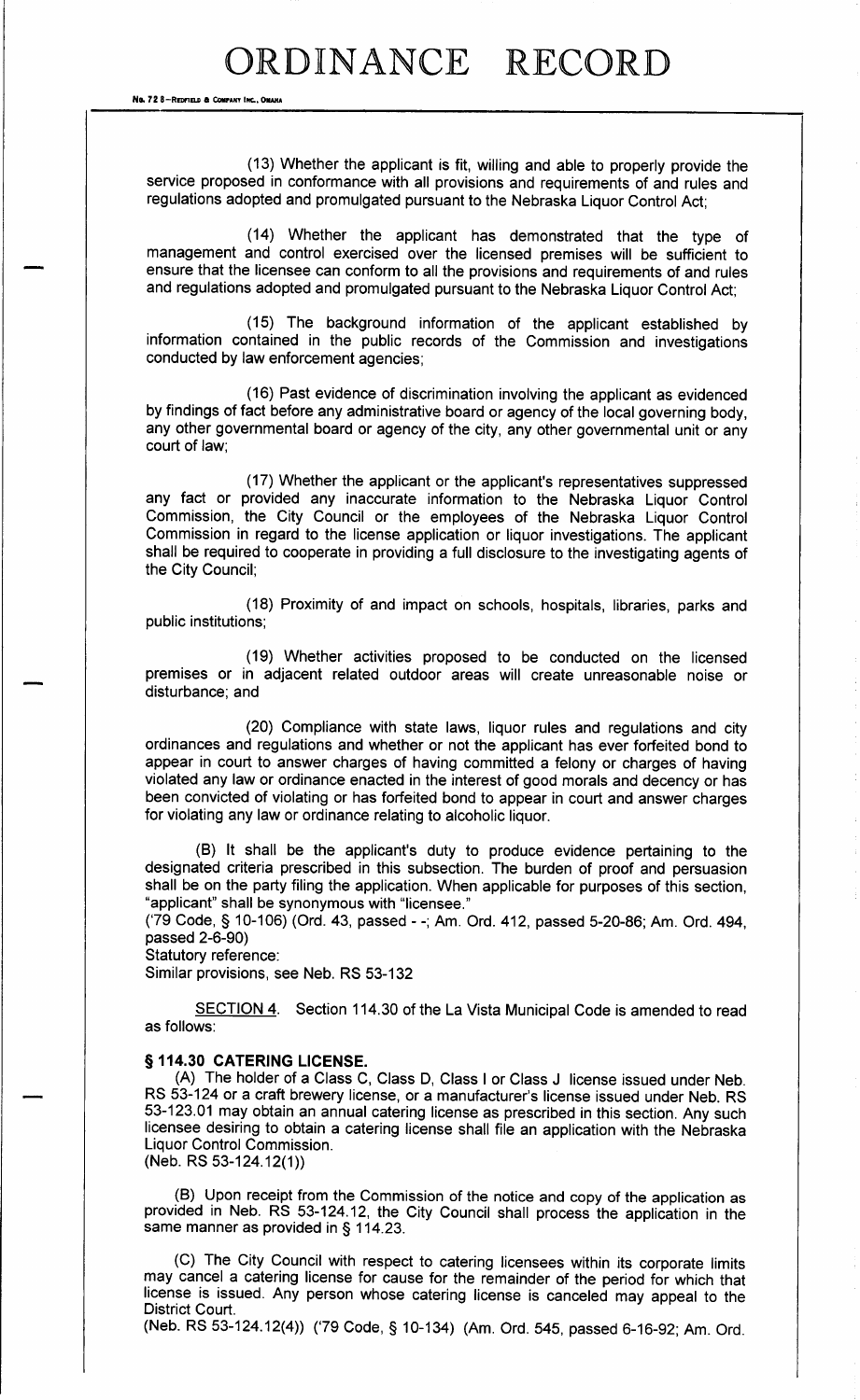No. 72 8-REDFIELD & COMPANY INC., OMANA

13) Whether the applicant is fit, willing and able to properly provide the service proposed in conformance with all provisions and requirements of and rules and regulations adopted and promulgated pursuant to the Nebraska Liquor Control Act;

14) Whether the applicant has demonstrated that the type of management and control exercised over the licensed premises will be sufficient to ensure that the licensee can conform to all the provisions and requirements of and rules and regulations adopted and promulgated pursuant to the Nebraska Liquor Control Act;

15) The background information of the applicant established by information contained in the public records of the Commission and investigations conducted by law enforcement agencies;

16) Past evidence of discrimination involving the applicant as evidenced by findings of fact before any administrative board or agency of the local governing body, any other governmental board or agency of the city, any other governmental unit or any court of law;

(17) Whether the applicant or the applicant's representatives suppressed any fact or provided any inaccurate information to the Nebraska Liquor Control Commission, the City Council or the employees of the Nebraska Liquor Control Commission in regard to the license application or liquor investigations. The applicant shall be required to cooperate in providing a full disclosure to the investigating agents of the City Council;

18) Proximity of and impact on schools, hospitals, libraries, parks and public institutions;

19) Whether activities proposed to be conducted on the licensed premises or in adjacent related outdoor areas will create unreasonable noise or disturbance; and

20) Compliance with state laws, liquor rules and regulations and city ordinances and regulations and whether or not the applicant has ever forfeited bond to appear in court to answer charges of having committed a felony or charges of having violated any law or ordinance enacted in the interest of good morals and decency or has been convicted of violating or has forfeited bond to appear in court and answer charges for violating any law or ordinance relating to alcoholic liquor.

(B) It shall be the applicant's duty to produce evidence pertaining to the designated criteria prescribed in this subsection. The burden of proof and persuasion shall be on the party filing the application. When applicable for purposes of this section, "applicant" shall be synonymous with "licensee."

79 Code, § 10- 106) ( Ord. 43, passed - -; Am. Ord. 412, passed 5- 20-86; Am. Ord. 494, passed 2-6-90)

Statutory reference:

Similar provisions, see Neb. RS 53- 132

SECTION 4. Section 114.30 of the La Vista Municipal Code is amended to read as follows:

#### § 114.30 CATERING LICENSE.

A) The holder of <sup>a</sup> Class C, Class D, Class <sup>I</sup> or Class <sup>J</sup> license issued under Neb. RS 53-124 or a craft brewery license, or a manufacturer's license issued under Neb. RS 53- 123. 01 may obtain an annual catering license as prescribed in this section. Any such licensee desiring to obtain a catering license shall file an application with the Nebraska Liquor Control Commission. (Neb. RS 53-124.12(1))

B) Upon receipt from the Commission of the notice and copy of the application as provided in Neb. RS 53- 124. 12, the City Council shall process the application in the same manner as provided in § 114.23.

C) The City Council with respect to catering licensees within its corporate limits may cancel a catering license for cause for the remainder of the period for which that license is issued. Any person whose catering license is canceled may appeal to the District Court.

(Neb. RS 53-124.12(4)) ('79 Code, § 10-134) (Am. Ord. 545, passed 6-16-92; Am. Ord.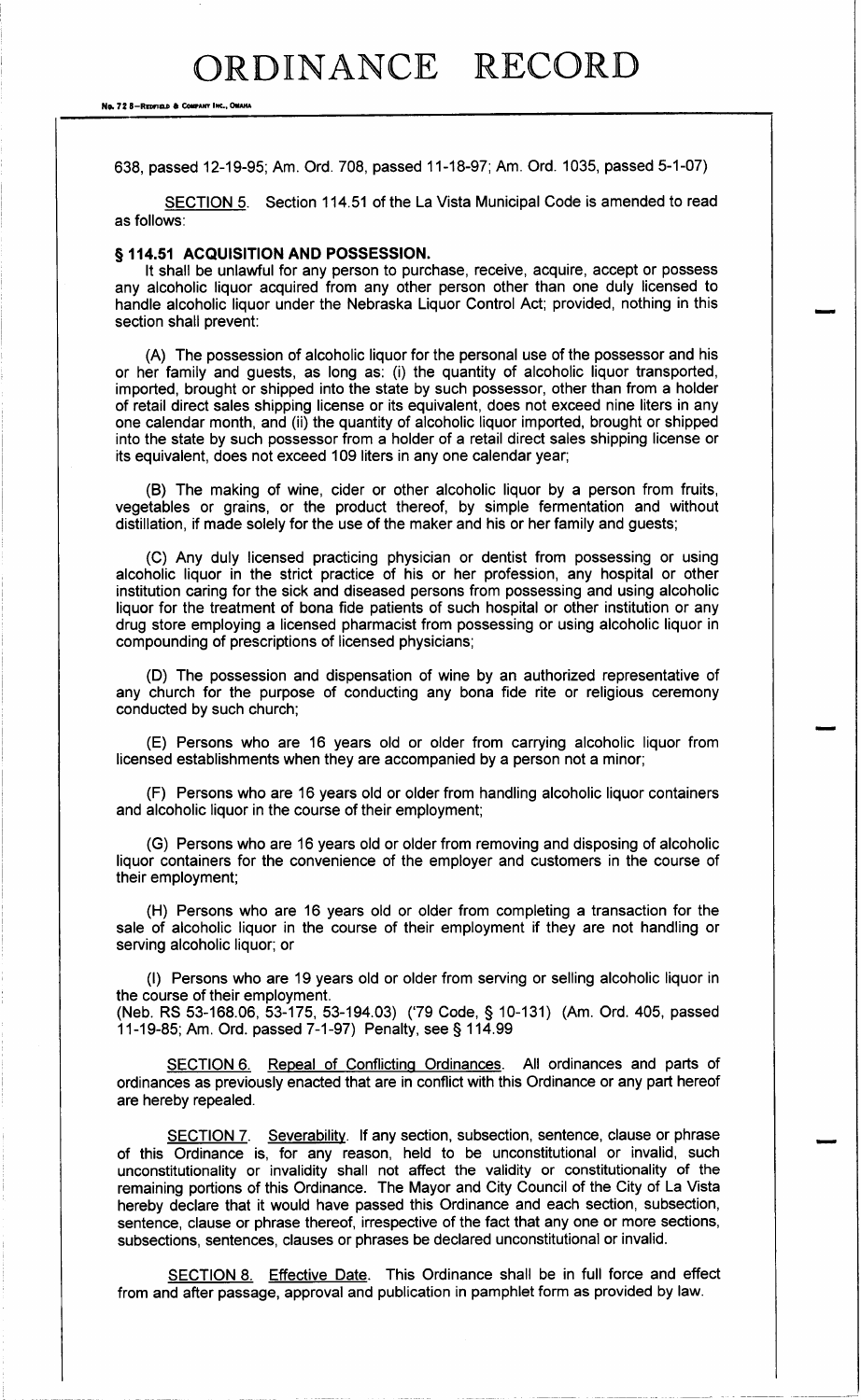No. 72 8-REDFIELD & COMPANY INC., OMAHA

638, passed 12-19-95; Am. Ord. 708, passed 11-18-97; Am. Ord. 1035, passed 5-1-07)

SECTION 5. Section 114.51 of the La Vista Municipal Code is amended to read as follows:

# § 114.51 ACQUISITION AND POSSESSION.

It shall be unlawful for any person to purchase, receive, acquire, accept or possess any alcoholic liquor acquired from any other person other than one duly licensed to handle alcoholic liquor under the Nebraska Liquor Control Act; provided, nothing in this section shall prevent:

A) The possession of alcoholic liquor for the personal use of the possessor and his or her family and guests, as long as: (i) the quantity of alcoholic liquor transported, imported, brought or shipped into the state by such possessor, other than from a holder of retail direct sales shipping license or its equivalent, does not exceed nine liters in any one calendar month, and (ii) the quantity of alcoholic liquor imported, brought or shipped into the state by such possessor from a holder of a retail direct sales shipping license or its equivalent, does not exceed 109 liters in any one calendar year;

B) The making of wine, cider or other alcoholic liquor by a person from fruits, vegetables or grains, or the product thereof, by simple fermentation and without distillation, if made solely for the use of the maker and his or her family and guests;

C) Any duly licensed practicing physician or dentist from possessing or using alcoholic liquor in the strict practice of his or her profession, any hospital or other institution caring for the sick and diseased persons from possessing and using alcoholic liquor for the treatment of bona fide patients of such hospital or other institution or any drug store employing a licensed pharmacist from possessing or using alcoholic liquor in compounding of prescriptions of licensed physicians;

D) The possession and dispensation of wine by an authorized representative of any church for the purpose of conducting any bona fide rite or religious ceremony conducted by such church;

E) Persons who are 16 years old or older from carrying alcoholic liquor from licensed establishments when they are accompanied by a person not a minor;

F) Persons who are 16 years old or older from handling alcoholic liquor containers and alcoholic liquor in the course of their employment;

G) Persons who are 16 years old or older from removing and disposing of alcoholic liquor containers for the convenience of the employer and customers in the course of their employment;

H) Persons who are 16 years old or older from completing a transaction for the sale of alcoholic liquor in the course of their employment if they are not handling or serving alcoholic liquor; or

I) Persons who are 19 years old or older from serving or selling alcoholic liquor in the course of their employment.

Neb. RS 53- 168. 06, 53- 175, 53- 194. 03) ( 79 Code, § 10- 131) ( Am. Ord. 405, passed 11- 19- 85; Am. Ord. passed 7- 1- 97) Penalty, see § 114. 99

SECTION 6. Repeal of Conflicting Ordinances. All ordinances and parts of ordinances as previously enacted that are in conflict with this Ordinance or any part hereof are hereby repealed.

SECTION 7. Severability. If any section, subsection, sentence, clause or phrase of this Ordinance is, for any reason, held to be unconstitutional or invalid, such unconstitutionality or invalidity shall not affect the validity or constitutionality of the remaining portions of this Ordinance. The Mayor and City Council of the City of La Vista hereby declare that it would have passed this Ordinance and each section, subsection, sentence, clause or phrase thereof, irrespective of the fact that any one or more sections, subsections, sentences, clauses or phrases be declared unconstitutional or invalid.

SECTION 8. Effective Date. This Ordinance shall be in full force and effect from and after passage, approval and publication in pamphlet form as provided by law.